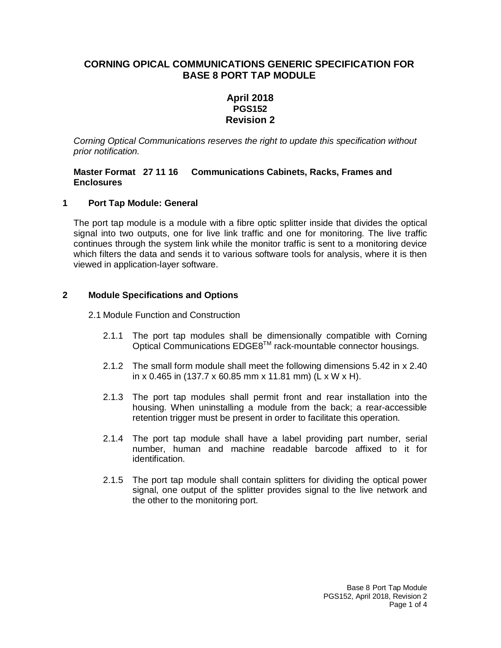## **CORNING OPICAL COMMUNICATIONS GENERIC SPECIFICATION FOR BASE 8 PORT TAP MODULE**

## **April 2018 PGS152 Revision 2**

*Corning Optical Communications reserves the right to update this specification without prior notification.*

#### **Master Format 27 11 16 Communications Cabinets, Racks, Frames and Enclosures**

### **1 Port Tap Module: General**

The port tap module is a module with a fibre optic splitter inside that divides the optical signal into two outputs, one for live link traffic and one for monitoring. The live traffic continues through the system link while the monitor traffic is sent to a monitoring device which filters the data and sends it to various software tools for analysis, where it is then viewed in application-layer software.

### **2 Module Specifications and Options**

2.1 Module Function and Construction

- 2.1.1 The port tap modules shall be dimensionally compatible with Corning Optical Communications EDGE8TM rack-mountable connector housings.
- 2.1.2 The small form module shall meet the following dimensions 5.42 in x 2.40 in x 0.465 in (137.7 x 60.85 mm x 11.81 mm) (L x W x H).
- 2.1.3 The port tap modules shall permit front and rear installation into the housing. When uninstalling a module from the back; a rear-accessible retention trigger must be present in order to facilitate this operation.
- 2.1.4 The port tap module shall have a label providing part number, serial number, human and machine readable barcode affixed to it for identification.
- 2.1.5 The port tap module shall contain splitters for dividing the optical power signal, one output of the splitter provides signal to the live network and the other to the monitoring port.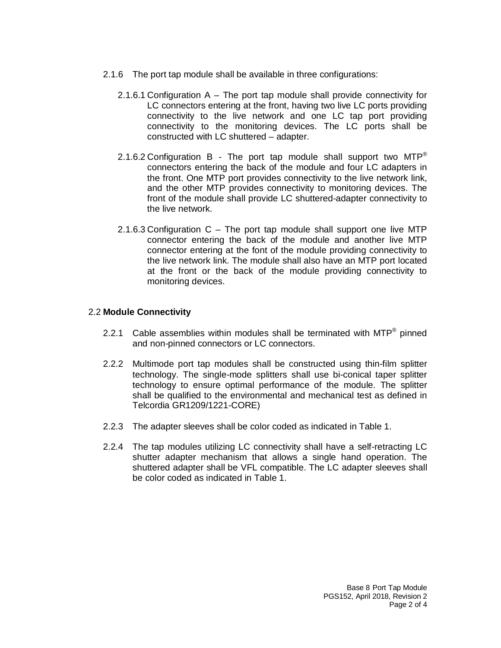- 2.1.6 The port tap module shall be available in three configurations:
	- 2.1.6.1 Configuration A The port tap module shall provide connectivity for LC connectors entering at the front, having two live LC ports providing connectivity to the live network and one LC tap port providing connectivity to the monitoring devices. The LC ports shall be constructed with LC shuttered – adapter.
	- 2.1.6.2 Configuration B The port tap module shall support two  $MTP^*$ connectors entering the back of the module and four LC adapters in the front. One MTP port provides connectivity to the live network link, and the other MTP provides connectivity to monitoring devices. The front of the module shall provide LC shuttered-adapter connectivity to the live network.
	- 2.1.6.3 Configuration C The port tap module shall support one live MTP connector entering the back of the module and another live MTP connector entering at the font of the module providing connectivity to the live network link. The module shall also have an MTP port located at the front or the back of the module providing connectivity to monitoring devices.

#### 2.2 **Module Connectivity**

- 2.2.1 Cable assemblies within modules shall be terminated with  $MTP^{\circledast}$  pinned and non-pinned connectors or LC connectors.
- 2.2.2 Multimode port tap modules shall be constructed using thin-film splitter technology. The single-mode splitters shall use bi-conical taper splitter technology to ensure optimal performance of the module. The splitter shall be qualified to the environmental and mechanical test as defined in Telcordia GR1209/1221-CORE)
- 2.2.3 The adapter sleeves shall be color coded as indicated in Table 1.
- 2.2.4 The tap modules utilizing LC connectivity shall have a self-retracting LC shutter adapter mechanism that allows a single hand operation. The shuttered adapter shall be VFL compatible. The LC adapter sleeves shall be color coded as indicated in Table 1.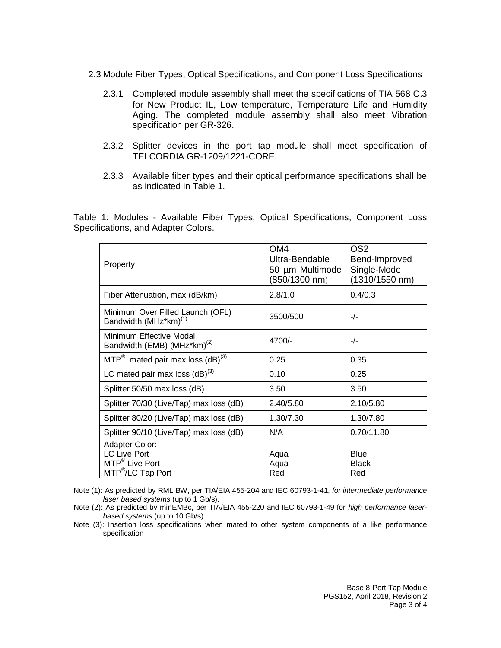- 2.3 Module Fiber Types, Optical Specifications, and Component Loss Specifications
	- 2.3.1 Completed module assembly shall meet the specifications of TIA 568 C.3 for New Product IL, Low temperature, Temperature Life and Humidity Aging. The completed module assembly shall also meet Vibration specification per GR-326.
	- 2.3.2 Splitter devices in the port tap module shall meet specification of TELCORDIA GR-1209/1221-CORE.
	- 2.3.3 Available fiber types and their optical performance specifications shall be as indicated in Table 1.

Table 1: Modules - Available Fiber Types, Optical Specifications, Component Loss Specifications, and Adapter Colors.

| Property                                                                                             | OM <sub>4</sub><br>Ultra-Bendable<br>50 µm Multimode<br>$(850/1300 \; nm)$ | OS <sub>2</sub><br>Bend-Improved<br>Single-Mode<br>(1310/1550 nm) |  |
|------------------------------------------------------------------------------------------------------|----------------------------------------------------------------------------|-------------------------------------------------------------------|--|
| Fiber Attenuation, max (dB/km)                                                                       | 2.8/1.0                                                                    | 0.4/0.3                                                           |  |
| Minimum Over Filled Launch (OFL)<br>Bandwidth (MHz*km) <sup>(1)</sup>                                | 3500/500                                                                   | $-/-$                                                             |  |
| Minimum Effective Modal<br>Bandwidth (EMB) (MHz*km) <sup>(2)</sup>                                   | 4700/-                                                                     | $-/-$                                                             |  |
| $MTP^*$ mated pair max loss $(dB)^{(3)}$                                                             | 0.25                                                                       | 0.35                                                              |  |
| LC mated pair max loss $(dB)^{(3)}$                                                                  | 0.10                                                                       | 0.25                                                              |  |
| Splitter 50/50 max loss (dB)                                                                         | 3.50                                                                       | 3.50                                                              |  |
| Splitter 70/30 (Live/Tap) max loss (dB)                                                              | 2.40/5.80                                                                  | 2.10/5.80                                                         |  |
| Splitter 80/20 (Live/Tap) max loss (dB)                                                              | 1.30/7.30                                                                  | 1.30/7.80                                                         |  |
| Splitter 90/10 (Live/Tap) max loss (dB)                                                              | N/A                                                                        | 0.70/11.80                                                        |  |
| Adapter Color:<br><b>LC Live Port</b><br>MTP <sup>®</sup> Live Port<br>MTP <sup>®</sup> /LC Tap Port | Aqua<br>Aqua<br>Red                                                        | <b>Blue</b><br><b>Black</b><br>Red                                |  |

Note (1): As predicted by RML BW, per TIA/EIA 455-204 and IEC 60793-1-41, *for intermediate performance laser based systems* (up to 1 Gb/s).

- Note (2): As predicted by minEMBc, per TIA/EIA 455-220 and IEC 60793-1-49 for *high performance laserbased systems* (up to 10 Gb/s).
- Note (3): Insertion loss specifications when mated to other system components of a like performance specification